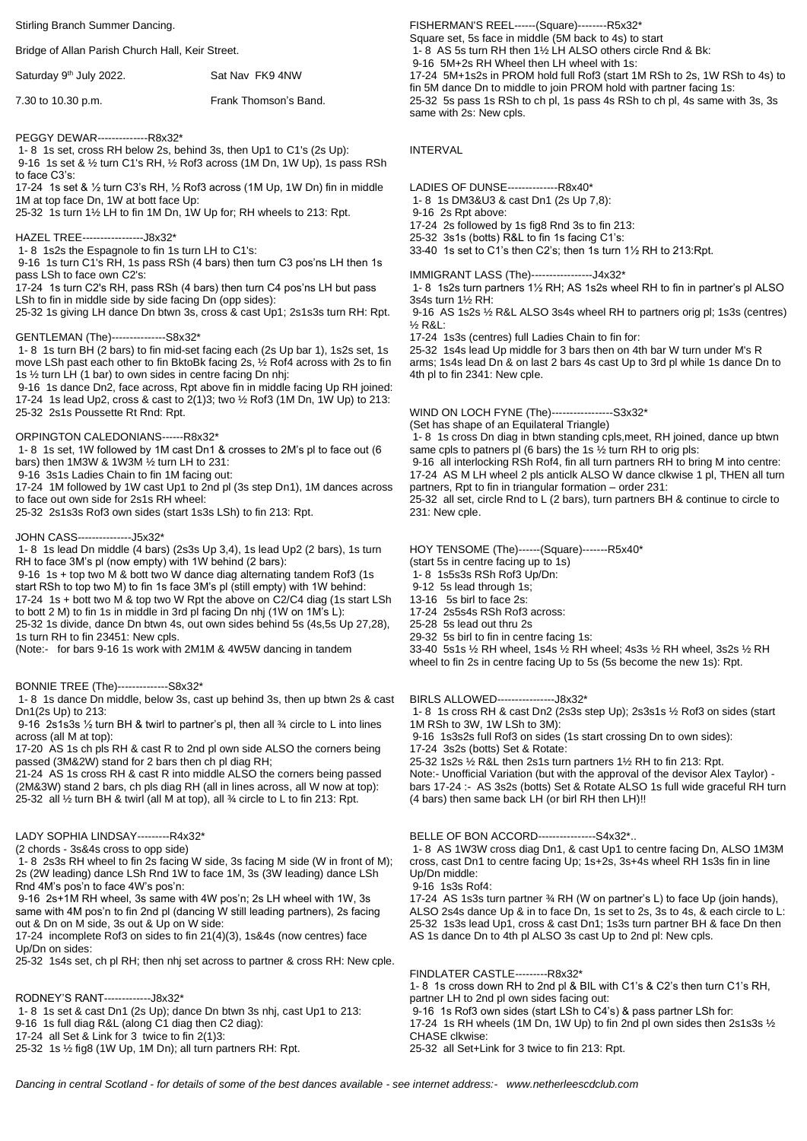#### Stirling Branch Summer Dancing.

### Bridge of Allan Parish Church Hall, Keir Street.

| Saturday 9 <sup>th</sup> July 2022. | Sat Nav FK9 4NW       |
|-------------------------------------|-----------------------|
| 7.30 to 10.30 p.m.                  | Frank Thomson's Band. |

PEGGY DEWAR--------------R8x32\*

1- 8 1s set, cross RH below 2s, behind 3s, then Up1 to C1's (2s Up):

9-16 1s set & ½ turn C1's RH, ½ Rof3 across (1M Dn, 1W Up), 1s pass RSh to face C3's:

17-24 1s set & ½ turn C3's RH, ½ Rof3 across (1M Up, 1W Dn) fin in middle 1M at top face Dn, 1W at bott face Up:

25-32 1s turn 1½ LH to fin 1M Dn, 1W Up for; RH wheels to 213: Rpt.

HAZEL TREE-----------------J8x32\*

1- 8 1s2s the Espagnole to fin 1s turn LH to C1's:

9-16 1s turn C1's RH, 1s pass RSh (4 bars) then turn C3 pos'ns LH then 1s pass LSh to face own C2's:

17-24 1s turn C2's RH, pass RSh (4 bars) then turn C4 pos'ns LH but pass LSh to fin in middle side by side facing Dn (opp sides):

25-32 1s giving LH dance Dn btwn 3s, cross & cast Up1; 2s1s3s turn RH: Rpt.

### GENTLEMAN (The)---------------S8x32\*

1- 8 1s turn BH (2 bars) to fin mid-set facing each (2s Up bar 1), 1s2s set, 1s move LSh past each other to fin BktoBk facing 2s, ½ Rof4 across with 2s to fin 1s ½ turn LH (1 bar) to own sides in centre facing Dn nhj:

9-16 1s dance Dn2, face across, Rpt above fin in middle facing Up RH joined: 17-24 1s lead Up2, cross & cast to 2(1)3; two ½ Rof3 (1M Dn, 1W Up) to 213: 25-32 2s1s Poussette Rt Rnd: Rpt.

# ORPINGTON CALEDONIANS------R8x32\*

1- 8 1s set, 1W followed by 1M cast Dn1 & crosses to 2M's pl to face out (6 bars) then 1M3W & 1W3M ½ turn LH to 231:

9-16 3s1s Ladies Chain to fin 1M facing out:

17-24 1M followed by 1W cast Up1 to 2nd pl (3s step Dn1), 1M dances across to face out own side for 2s1s RH wheel:

25-32 2s1s3s Rof3 own sides (start 1s3s LSh) to fin 213: Rpt.

# JOHN CASS---------------J5x32\*

1- 8 1s lead Dn middle (4 bars) (2s3s Up 3,4), 1s lead Up2 (2 bars), 1s turn RH to face 3M's pl (now empty) with 1W behind (2 bars):

9-16 1s + top two M & bott two W dance diag alternating tandem Rof3 (1s start RSh to top two M) to fin 1s face 3M's pl (still empty) with 1W behind: 17-24 1s + bott two M & top two W Rpt the above on C2/C4 diag (1s start LSh to bott 2 M) to fin 1s in middle in 3rd pl facing Dn nhj (1W on 1M's L): 25-32 1s divide, dance Dn btwn 4s, out own sides behind 5s (4s,5s Up 27,28),

1s turn RH to fin 23451: New cpls.

(Note:- for bars 9-16 1s work with 2M1M & 4W5W dancing in tandem

BONNIE TREE (The)--------------S8x32\*

1- 8 1s dance Dn middle, below 3s, cast up behind 3s, then up btwn 2s & cast Dn1(2s Up) to 213:

9-16 2s1s3s ½ turn BH & twirl to partner's pl, then all ¾ circle to L into lines across (all M at top):

17-20 AS 1s ch pls RH & cast R to 2nd pl own side ALSO the corners being passed (3M&2W) stand for 2 bars then ch pl diag RH;

21-24 AS 1s cross RH & cast R into middle ALSO the corners being passed (2M&3W) stand 2 bars, ch pls diag RH (all in lines across, all W now at top): 25-32 all ½ turn BH & twirl (all M at top), all ¾ circle to L to fin 213: Rpt.

# LADY SOPHIA LINDSAY---------R4x32\*

(2 chords - 3s&4s cross to opp side)

1- 8 2s3s RH wheel to fin 2s facing W side, 3s facing M side (W in front of M); 2s (2W leading) dance LSh Rnd 1W to face 1M, 3s (3W leading) dance LSh Rnd 4M's pos'n to face 4W's pos'n:

9-16 2s+1M RH wheel, 3s same with 4W pos'n; 2s LH wheel with 1W, 3s same with 4M pos'n to fin 2nd pl (dancing W still leading partners), 2s facing out & Dn on M side, 3s out & Up on W side:

17-24 incomplete Rof3 on sides to fin 21(4)(3), 1s&4s (now centres) face Up/Dn on sides:

25-32 1s4s set, ch pl RH; then nhj set across to partner & cross RH: New cple.

RODNEY'S RANT-------------J8x32\*

1- 8 1s set & cast Dn1 (2s Up); dance Dn btwn 3s nhj, cast Up1 to 213:

9-16 1s full diag R&L (along C1 diag then C2 diag):

17-24 all Set & Link for 3 twice to fin 2(1)3:

25-32 1s ½ fig8 (1W Up, 1M Dn); all turn partners RH: Rpt.

FISHERMAN'S REEL------(Square)--------R5x32\* Square set, 5s face in middle (5M back to 4s) to start 1- 8 AS 5s turn RH then 1½ LH ALSO others circle Rnd & Bk: 9-16 5M+2s RH Wheel then LH wheel with 1s: 17-24 5M+1s2s in PROM hold full Rof3 (start 1M RSh to 2s, 1W RSh to 4s) to fin 5M dance Dn to middle to join PROM hold with partner facing 1s: 25-32 5s pass 1s RSh to ch pl, 1s pass 4s RSh to ch pl, 4s same with 3s, 3s same with 2s: New cpls.

#### INTERVAL

LADIES OF DUNSE--------------R8x40\*

1- 8 1s DM3&U3 & cast Dn1 (2s Up 7,8):

9-16 2s Rpt above:

17-24 2s followed by 1s fig8 Rnd 3s to fin 213: 25-32 3s1s (botts) R&L to fin 1s facing C1's:

33-40 1s set to C1's then C2's; then 1s turn 1½ RH to 213:Rpt.

IMMIGRANT LASS (The)-----------------J4x32\*

1- 8 1s2s turn partners 1½ RH; AS 1s2s wheel RH to fin in partner's pl ALSO 3s4s turn 1½ RH:

9-16 AS 1s2s ½ R&L ALSO 3s4s wheel RH to partners orig pl; 1s3s (centres) ½ R&L:

17-24 1s3s (centres) full Ladies Chain to fin for:

25-32 1s4s lead Up middle for 3 bars then on 4th bar W turn under M's R arms; 1s4s lead Dn & on last 2 bars 4s cast Up to 3rd pl while 1s dance Dn to 4th pl to fin 2341: New cple.

WIND ON LOCH FYNE (The)-----------------S3x32\*

(Set has shape of an Equilateral Triangle)

1- 8 1s cross Dn diag in btwn standing cpls,meet, RH joined, dance up btwn same cpls to patners pl (6 bars) the 1s  $\frac{1}{2}$  turn RH to orig pls:

9-16 all interlocking RSh Rof4, fin all turn partners RH to bring M into centre: 17-24 AS M LH wheel 2 pls anticlk ALSO W dance clkwise 1 pl, THEN all turn partners, Rpt to fin in triangular formation – order 231:

25-32 all set, circle Rnd to L (2 bars), turn partners BH & continue to circle to 231: New cple.

HOY TENSOME (The)------(Square)-------R5x40\*

(start 5s in centre facing up to 1s)

1- 8 1s5s3s RSh Rof3 Up/Dn:

9-12 5s lead through 1s; 13-16 5s birl to face 2s:

- 17-24 2s5s4s RSh Rof3 across:
- 25-28 5s lead out thru 2s
- 29-32 5s birl to fin in centre facing 1s:

33-40 5s1s ½ RH wheel, 1s4s ½ RH wheel; 4s3s ½ RH wheel, 3s2s ½ RH wheel to fin 2s in centre facing Up to 5s (5s become the new 1s): Rpt.

BIRLS ALLOWED----------------J8x32\*

1- 8 1s cross RH & cast Dn2 (2s3s step Up); 2s3s1s ½ Rof3 on sides (start 1M RSh to 3W, 1W LSh to 3M):

9-16 1s3s2s full Rof3 on sides (1s start crossing Dn to own sides):

17-24 3s2s (botts) Set & Rotate:

25-32 1s2s ½ R&L then 2s1s turn partners 1½ RH to fin 213: Rpt.

Note:- Unofficial Variation (but with the approval of the devisor Alex Taylor) bars 17-24 :- AS 3s2s (botts) Set & Rotate ALSO 1s full wide graceful RH turn (4 bars) then same back LH (or birl RH then LH)!!

BELLE OF BON ACCORD----------------S4x32\*..

1- 8 AS 1W3W cross diag Dn1, & cast Up1 to centre facing Dn, ALSO 1M3M cross, cast Dn1 to centre facing Up; 1s+2s, 3s+4s wheel RH 1s3s fin in line Up/Dn middle:

9-16 1s3s Rof4:

17-24 AS 1s3s turn partner ¾ RH (W on partner's L) to face Up (join hands), ALSO 2s4s dance Up & in to face Dn, 1s set to 2s, 3s to 4s, & each circle to L: 25-32 1s3s lead Up1, cross & cast Dn1; 1s3s turn partner BH & face Dn then AS 1s dance Dn to 4th pl ALSO 3s cast Up to 2nd pl: New cpls.

FINDLATER CASTLE---------R8x32\*

1- 8 1s cross down RH to 2nd pl & BIL with C1's & C2's then turn C1's RH, partner LH to 2nd pl own sides facing out:

9-16 1s Rof3 own sides (start LSh to C4's) & pass partner LSh for: 17-24 1s RH wheels (1M Dn, 1W Up) to fin 2nd pl own sides then 2s1s3s ½ CHASE clkwise:

25-32 all Set+Link for 3 twice to fin 213: Rpt.